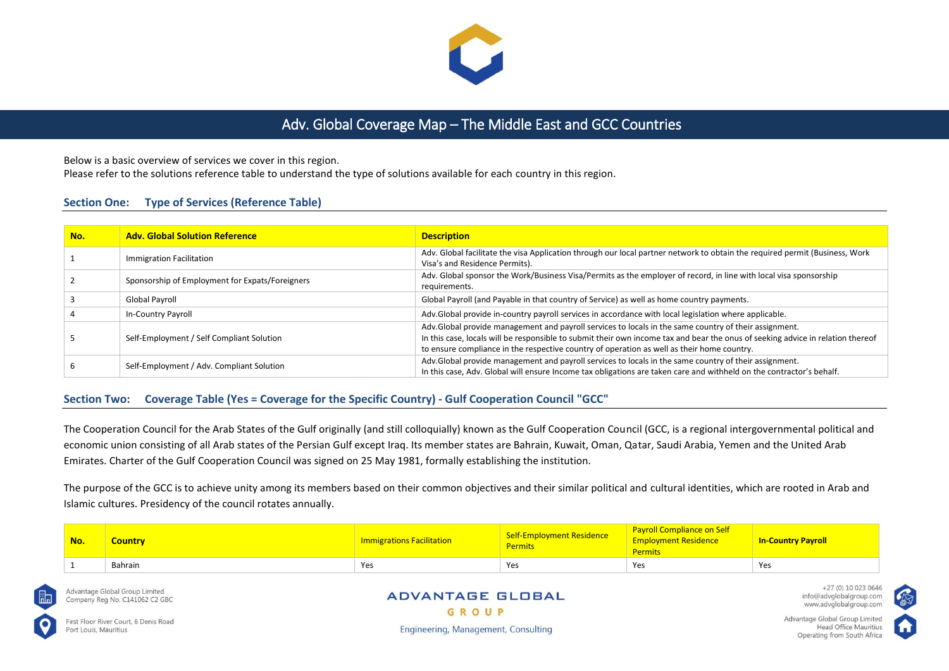

# Adv. Global Coverage Map – The Middle East and GCC Countries

Below is a basic overview of services we cover in this region.

Please refer to the solutions reference table to understand the type of solutions available for each country in this region.

### **Section One: Type of Services (Reference Table)**

| No. | <b>Adv. Global Solution Reference</b>           | <b>Description</b>                                                                                                                                                                                                                                                                                                                     |
|-----|-------------------------------------------------|----------------------------------------------------------------------------------------------------------------------------------------------------------------------------------------------------------------------------------------------------------------------------------------------------------------------------------------|
|     | Immigration Facilitation                        | Adv. Global facilitate the visa Application through our local partner network to obtain the required permit (Business, Work<br>Visa's and Residence Permits).                                                                                                                                                                          |
|     | Sponsorship of Employment for Expats/Foreigners | Adv. Global sponsor the Work/Business Visa/Permits as the employer of record, in line with local visa sponsorship<br>requirements.                                                                                                                                                                                                     |
|     | Global Payroll                                  | Global Payroll (and Payable in that country of Service) as well as home country payments.                                                                                                                                                                                                                                              |
|     | In-Country Payroll                              | Adv.Global provide in-country payroll services in accordance with local legislation where applicable.                                                                                                                                                                                                                                  |
|     | Self-Employment / Self Compliant Solution       | Adv.Global provide management and payroll services to locals in the same country of their assignment.<br>In this case, locals will be responsible to submit their own income tax and bear the onus of seeking advice in relation thereof<br>to ensure compliance in the respective country of operation as well as their home country. |
|     | Self-Employment / Adv. Compliant Solution       | Adv.Global provide management and payroll services to locals in the same country of their assignment.<br>In this case, Adv. Global will ensure Income tax obligations are taken care and withheld on the contractor's behalf.                                                                                                          |

## **Section Two: Coverage Table (Yes = Coverage for the Specific Country) - Gulf Cooperation Council "GCC"**

The Cooperation Council for the Arab States of the Gulf originally (and still colloquially) known as the Gulf Cooperation Council (GCC, is a regional intergovernmental political and economic union consisting of all Arab states of the Persian Gulf except Iraq. Its member states are Bahrain, Kuwait, Oman, Qatar, Saudi Arabia, Yemen and the United Arab Emirates. Charter of the Gulf Cooperation Council was signed on 25 May 1981, formally establishing the institution.

The purpose of the GCC is to achieve unity among its members based on their common objectives and their similar political and cultural identities, which are rooted in Arab and Islamic cultures. Presidency of the council rotates annually.

| No. | Country | <b>Immigrations Facilitation</b> | Self-Employment Residence<br><b>Permits</b> | <b>Payroll Compliance on Self</b><br><b>Employment Residence</b><br>Permits | <b>In-Country Payroll</b> |
|-----|---------|----------------------------------|---------------------------------------------|-----------------------------------------------------------------------------|---------------------------|
|     | Bahrain | Yes                              | Yes                                         | Yes                                                                         | Yes                       |



Advantage Global Group Limited Company Reg No. C141062 C2 GBC

First Floor River Court, 6 Denis Road Port Louis, Mauritius

#### **ADVANTAGE GLOBAL** GROUP

Engineering, Management, Consulting

+27 (0) 10 023 0646 info@advglobalgroup.com www.advglobalgroup.com

Advantage Global Group Limited Head Office Mauritius Operating from South Africa